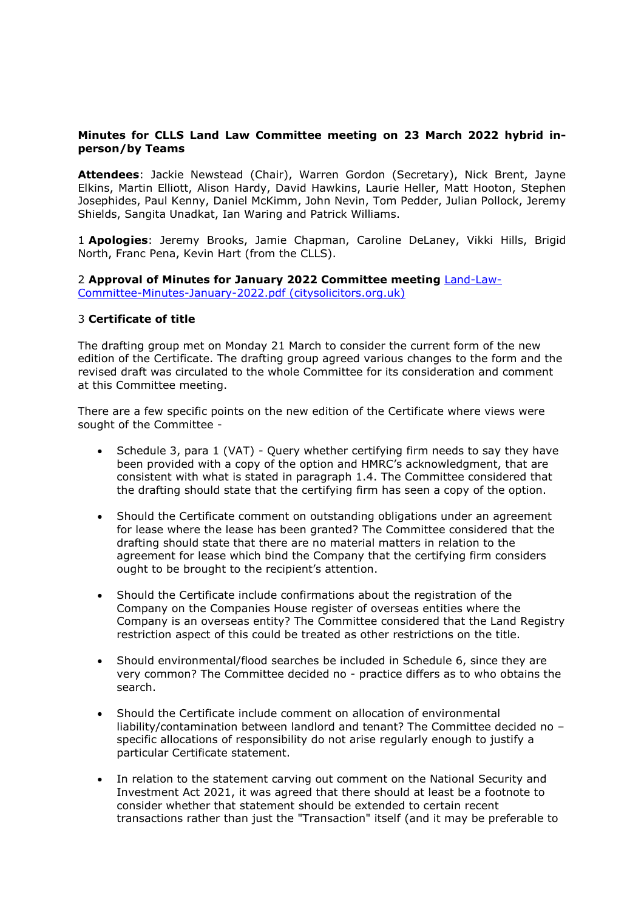## **Minutes for CLLS Land Law Committee meeting on 23 March 2022 hybrid inperson/by Teams**

**Attendees**: Jackie Newstead (Chair), Warren Gordon (Secretary), Nick Brent, Jayne Elkins, Martin Elliott, Alison Hardy, David Hawkins, Laurie Heller, Matt Hooton, Stephen Josephides, Paul Kenny, Daniel McKimm, John Nevin, Tom Pedder, Julian Pollock, Jeremy Shields, Sangita Unadkat, Ian Waring and Patrick Williams.

1 **Apologies**: Jeremy Brooks, Jamie Chapman, Caroline DeLaney, Vikki Hills, Brigid North, Franc Pena, Kevin Hart (from the CLLS).

2 **Approval of Minutes for January 2022 Committee meeting** [Land-Law-](https://www.citysolicitors.org.uk/storage/2022/02/Land-Law-Committee-Minutes-January-2022.pdf)[Committee-Minutes-January-2022.pdf](https://www.citysolicitors.org.uk/storage/2022/02/Land-Law-Committee-Minutes-January-2022.pdf) (citysolicitors.org.uk)

#### 3 **Certificate of title**

The drafting group met on Monday 21 March to consider the current form of the new edition of the Certificate. The drafting group agreed various changes to the form and the revised draft was circulated to the whole Committee for its consideration and comment at this Committee meeting.

There are a few specific points on the new edition of the Certificate where views were sought of the Committee -

- Schedule 3, para 1 (VAT) Query whether certifying firm needs to say they have been provided with a copy of the option and HMRC's acknowledgment, that are consistent with what is stated in paragraph 1.4. The Committee considered that the drafting should state that the certifying firm has seen a copy of the option.
- Should the Certificate comment on outstanding obligations under an agreement for lease where the lease has been granted? The Committee considered that the drafting should state that there are no material matters in relation to the agreement for lease which bind the Company that the certifying firm considers ought to be brought to the recipient's attention.
- Should the Certificate include confirmations about the registration of the Company on the Companies House register of overseas entities where the Company is an overseas entity? The Committee considered that the Land Registry restriction aspect of this could be treated as other restrictions on the title.
- Should environmental/flood searches be included in Schedule 6, since they are very common? The Committee decided no - practice differs as to who obtains the search.
- Should the Certificate include comment on allocation of environmental liability/contamination between landlord and tenant? The Committee decided no – specific allocations of responsibility do not arise regularly enough to justify a particular Certificate statement.
- In relation to the statement carving out comment on the National Security and Investment Act 2021, it was agreed that there should at least be a footnote to consider whether that statement should be extended to certain recent transactions rather than just the "Transaction" itself (and it may be preferable to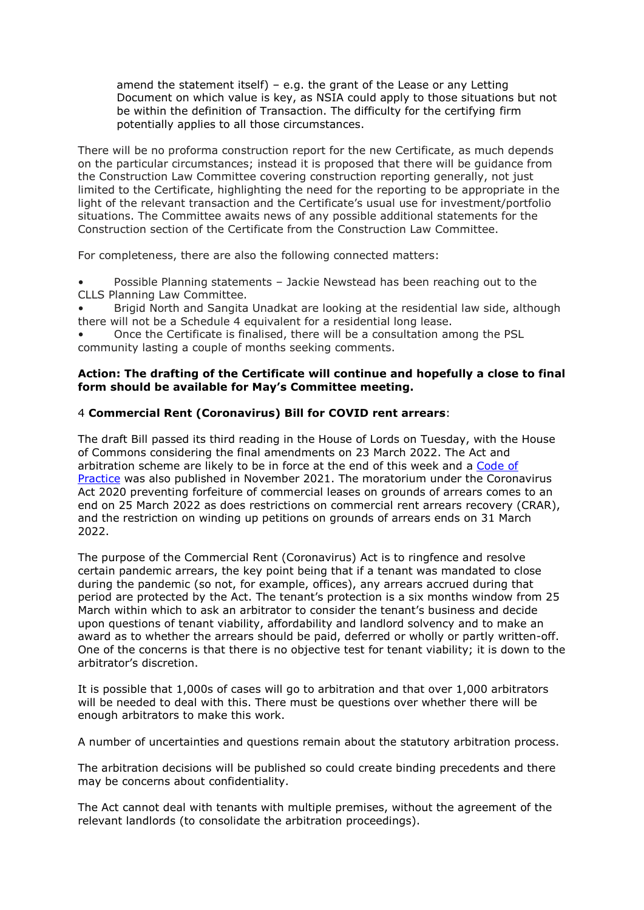amend the statement itself) – e.g. the grant of the Lease or any Letting Document on which value is key, as NSIA could apply to those situations but not be within the definition of Transaction. The difficulty for the certifying firm potentially applies to all those circumstances.

There will be no proforma construction report for the new Certificate, as much depends on the particular circumstances; instead it is proposed that there will be guidance from the Construction Law Committee covering construction reporting generally, not just limited to the Certificate, highlighting the need for the reporting to be appropriate in the light of the relevant transaction and the Certificate's usual use for investment/portfolio situations. The Committee awaits news of any possible additional statements for the Construction section of the Certificate from the Construction Law Committee.

For completeness, there are also the following connected matters:

• Possible Planning statements – Jackie Newstead has been reaching out to the CLLS Planning Law Committee.

• Brigid North and Sangita Unadkat are looking at the residential law side, although there will not be a Schedule 4 equivalent for a residential long lease.

• Once the Certificate is finalised, there will be a consultation among the PSL community lasting a couple of months seeking comments.

#### **Action: The drafting of the Certificate will continue and hopefully a close to final form should be available for May's Committee meeting.**

## 4 **Commercial Rent (Coronavirus) Bill for COVID rent arrears**:

The draft Bill passed its third reading in the House of Lords on Tuesday, with the House of Commons considering the final amendments on 23 March 2022. The Act and arbitration scheme are likely to be in force at the end of this week and a [Code](https://www.gov.uk/government/publications/commercial-rents-code-of-practice-november-2021/code-of-practice-for-commercial-property-relationships-following-the-covid-19-pandemic#annex-a-timelines) of [Practice](https://www.gov.uk/government/publications/commercial-rents-code-of-practice-november-2021/code-of-practice-for-commercial-property-relationships-following-the-covid-19-pandemic#annex-a-timelines) was also published in November 2021. The moratorium under the Coronavirus Act 2020 preventing forfeiture of commercial leases on grounds of arrears comes to an end on 25 March 2022 as does restrictions on commercial rent arrears recovery (CRAR), and the restriction on winding up petitions on grounds of arrears ends on 31 March 2022.

The purpose of the Commercial Rent (Coronavirus) Act is to ringfence and resolve certain pandemic arrears, the key point being that if a tenant was mandated to close during the pandemic (so not, for example, offices), any arrears accrued during that period are protected by the Act. The tenant's protection is a six months window from 25 March within which to ask an arbitrator to consider the tenant's business and decide upon questions of tenant viability, affordability and landlord solvency and to make an award as to whether the arrears should be paid, deferred or wholly or partly written-off. One of the concerns is that there is no objective test for tenant viability; it is down to the arbitrator's discretion.

It is possible that 1,000s of cases will go to arbitration and that over 1,000 arbitrators will be needed to deal with this. There must be questions over whether there will be enough arbitrators to make this work.

A number of uncertainties and questions remain about the statutory arbitration process.

The arbitration decisions will be published so could create binding precedents and there may be concerns about confidentiality.

The Act cannot deal with tenants with multiple premises, without the agreement of the relevant landlords (to consolidate the arbitration proceedings).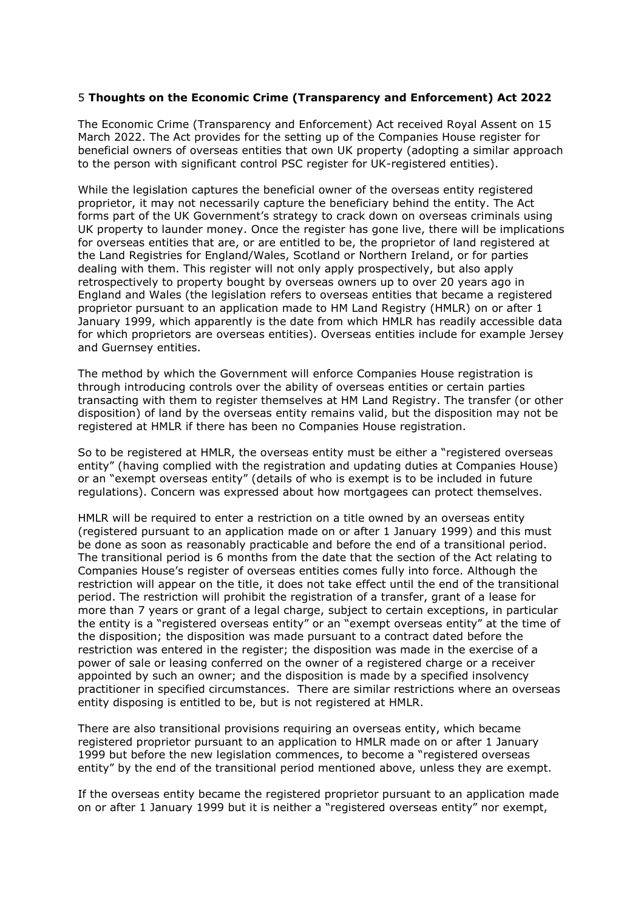## 5 **Thoughts on the Economic Crime (Transparency and Enforcement) Act 2022**

The Economic Crime (Transparency and Enforcement) Act received Royal Assent on 15 March 2022. The Act provides for the setting up of the Companies House register for beneficial owners of overseas entities that own UK property (adopting a similar approach to the person with significant control PSC register for UK-registered entities).

While the legislation captures the beneficial owner of the overseas entity registered proprietor, it may not necessarily capture the beneficiary behind the entity. The Act forms part of the UK Government's strategy to crack down on overseas criminals using UK property to launder money. Once the register has gone live, there will be implications for overseas entities that are, or are entitled to be, the proprietor of land registered at the Land Registries for England/Wales, Scotland or Northern Ireland, or for parties dealing with them. This register will not only apply prospectively, but also apply retrospectively to property bought by overseas owners up to over 20 years ago in England and Wales (the legislation refers to overseas entities that became a registered proprietor pursuant to an application made to HM Land Registry (HMLR) on or after 1 January 1999, which apparently is the date from which HMLR has readily accessible data for which proprietors are overseas entities). Overseas entities include for example Jersey and Guernsey entities.

The method by which the Government will enforce Companies House registration is through introducing controls over the ability of overseas entities or certain parties transacting with them to register themselves at HM Land Registry. The transfer (or other disposition) of land by the overseas entity remains valid, but the disposition may not be registered at HMLR if there has been no Companies House registration.

So to be registered at HMLR, the overseas entity must be either a "registered overseas entity" (having complied with the registration and updating duties at Companies House) or an "exempt overseas entity" (details of who is exempt is to be included in future regulations). Concern was expressed about how mortgagees can protect themselves.

HMLR will be required to enter a restriction on a title owned by an overseas entity (registered pursuant to an application made on or after 1 January 1999) and this must be done as soon as reasonably practicable and before the end of a transitional period. The transitional period is 6 months from the date that the section of the Act relating to Companies House's register of overseas entities comes fully into force. Although the restriction will appear on the title, it does not take effect until the end of the transitional period. The restriction will prohibit the registration of a transfer, grant of a lease for more than 7 years or grant of a legal charge, subject to certain exceptions, in particular the entity is a "registered overseas entity" or an "exempt overseas entity" at the time of the disposition; the disposition was made pursuant to a contract dated before the restriction was entered in the register; the disposition was made in the exercise of a power of sale or leasing conferred on the owner of a registered charge or a receiver appointed by such an owner; and the disposition is made by a specified insolvency practitioner in specified circumstances. There are similar restrictions where an overseas entity disposing is entitled to be, but is not registered at HMLR.

There are also transitional provisions requiring an overseas entity, which became registered proprietor pursuant to an application to HMLR made on or after 1 January 1999 but before the new legislation commences, to become a "registered overseas entity" by the end of the transitional period mentioned above, unless they are exempt.

If the overseas entity became the registered proprietor pursuant to an application made on or after 1 January 1999 but it is neither a "registered overseas entity" nor exempt,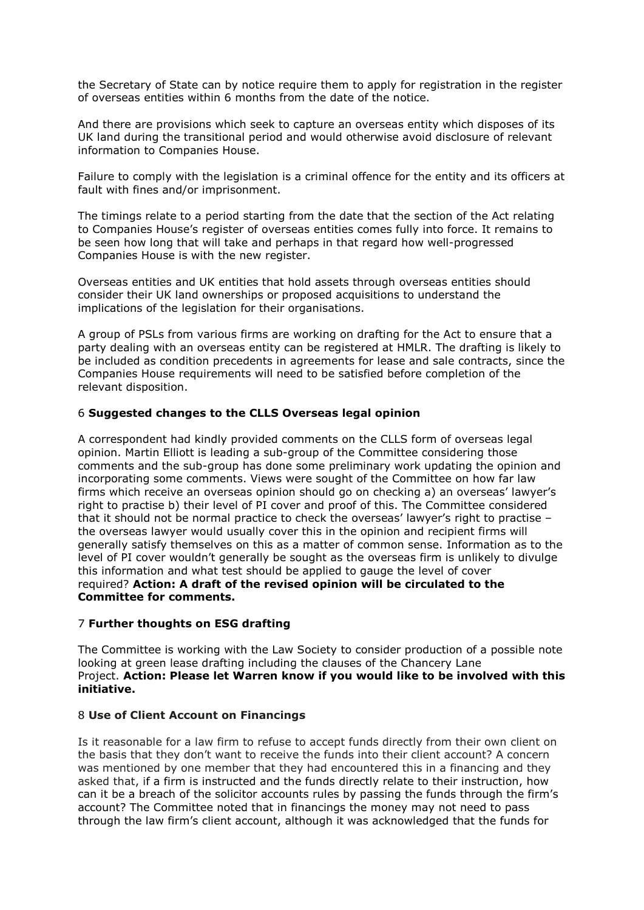the Secretary of State can by notice require them to apply for registration in the register of overseas entities within 6 months from the date of the notice.

And there are provisions which seek to capture an overseas entity which disposes of its UK land during the transitional period and would otherwise avoid disclosure of relevant information to Companies House.

Failure to comply with the legislation is a criminal offence for the entity and its officers at fault with fines and/or imprisonment.

The timings relate to a period starting from the date that the section of the Act relating to Companies House's register of overseas entities comes fully into force. It remains to be seen how long that will take and perhaps in that regard how well-progressed Companies House is with the new register.

Overseas entities and UK entities that hold assets through overseas entities should consider their UK land ownerships or proposed acquisitions to understand the implications of the legislation for their organisations.

A group of PSLs from various firms are working on drafting for the Act to ensure that a party dealing with an overseas entity can be registered at HMLR. The drafting is likely to be included as condition precedents in agreements for lease and sale contracts, since the Companies House requirements will need to be satisfied before completion of the relevant disposition.

## 6 **Suggested changes to the CLLS Overseas legal opinion**

A correspondent had kindly provided comments on the CLLS form of overseas legal opinion. Martin Elliott is leading a sub-group of the Committee considering those comments and the sub-group has done some preliminary work updating the opinion and incorporating some comments. Views were sought of the Committee on how far law firms which receive an overseas opinion should go on checking a) an overseas' lawyer's right to practise b) their level of PI cover and proof of this. The Committee considered that it should not be normal practice to check the overseas' lawyer's right to practise – the overseas lawyer would usually cover this in the opinion and recipient firms will generally satisfy themselves on this as a matter of common sense. Information as to the level of PI cover wouldn't generally be sought as the overseas firm is unlikely to divulge this information and what test should be applied to gauge the level of cover required? **Action: A draft of the revised opinion will be circulated to the Committee for comments.**

#### 7 **Further thoughts on ESG drafting**

The Committee is working with the Law Society to consider production of a possible note looking at green lease drafting including the clauses of the Chancery Lane Project. **Action: Please let Warren know if you would like to be involved with this initiative.**

#### 8 **Use of Client Account on Financings**

Is it reasonable for a law firm to refuse to accept funds directly from their own client on the basis that they don't want to receive the funds into their client account? A concern was mentioned by one member that they had encountered this in a financing and they asked that, if a firm is instructed and the funds directly relate to their instruction, how can it be a breach of the solicitor accounts rules by passing the funds through the firm's account? The Committee noted that in financings the money may not need to pass through the law firm's client account, although it was acknowledged that the funds for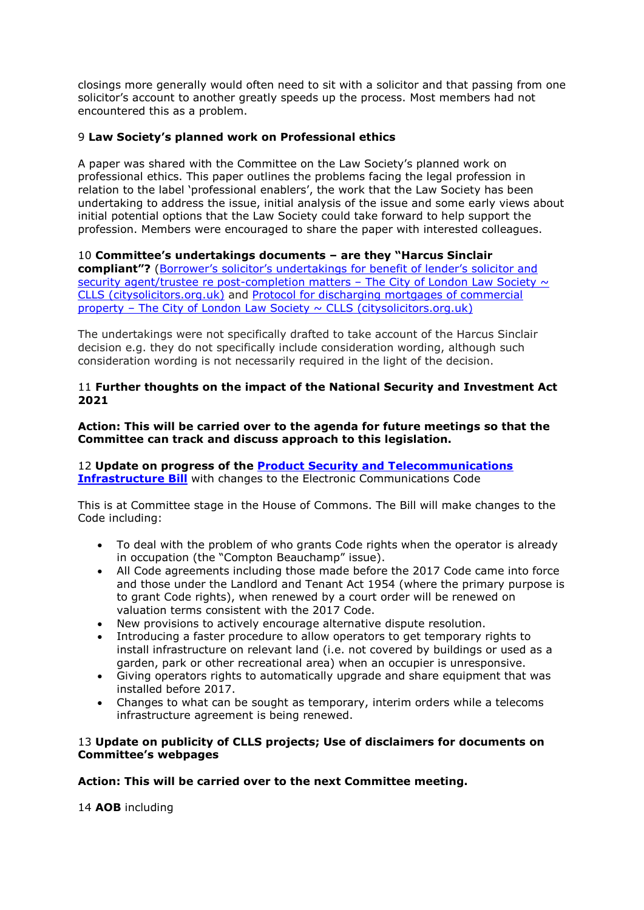closings more generally would often need to sit with a solicitor and that passing from one solicitor's account to another greatly speeds up the process. Most members had not encountered this as a problem.

# 9 **Law Society's planned work on Professional ethics**

A paper was shared with the Committee on the Law Society's planned work on professional ethics. This paper outlines the problems facing the legal profession in relation to the label 'professional enablers', the work that the Law Society has been undertaking to address the issue, initial analysis of the issue and some early views about initial potential options that the Law Society could take forward to help support the profession. Members were encouraged to share the paper with interested colleagues.

10 **Committee's undertakings documents – are they "Harcus Sinclair compliant"?** (Borrower's solicitor's [undertakings](https://www.citysolicitors.org.uk/clls/clls-precedent-documents/borrowers-solicitors-undertakings-for-benefit-of-lenders-solicitor-and-security-agent-trustee-re-post-completion-matters/) for benefit of lender's solicitor and security agent/trustee re [post-completion](https://www.citysolicitors.org.uk/clls/clls-precedent-documents/borrowers-solicitors-undertakings-for-benefit-of-lenders-solicitor-and-security-agent-trustee-re-post-completion-matters/) matters - The City of London Law Society  $\sim$ CLLS [\(citysolicitors.org.uk\)](https://www.citysolicitors.org.uk/clls/clls-precedent-documents/borrowers-solicitors-undertakings-for-benefit-of-lenders-solicitor-and-security-agent-trustee-re-post-completion-matters/) and Protocol for [discharging](https://www.citysolicitors.org.uk/clls/clls-precedent-documents/protocol-for-discharging-mortgages-of-commercial-property/) mortgages of commercial property – The City of London Law Society  $\sim$  CLLS [\(citysolicitors.org.uk\)](https://www.citysolicitors.org.uk/clls/clls-precedent-documents/protocol-for-discharging-mortgages-of-commercial-property/)

The undertakings were not specifically drafted to take account of the Harcus Sinclair decision e.g. they do not specifically include consideration wording, although such consideration wording is not necessarily required in the light of the decision.

## 11 **Further thoughts on the impact of the National Security and Investment Act 2021**

**Action: This will be carried over to the agenda for future meetings so that the Committee can track and discuss approach to this legislation.**

12 **Update on progress of the Product Security and [Telecommunications](https://bills.parliament.uk/bills/3069) [Infrastructure](https://bills.parliament.uk/bills/3069) Bill** with changes to the Electronic Communications Code

This is at Committee stage in the House of Commons. The Bill will make changes to the Code including:

- To deal with the problem of who grants Code rights when the operator is already in occupation (the "Compton Beauchamp" issue).
- All Code agreements including those made before the 2017 Code came into force and those under the Landlord and Tenant Act 1954 (where the primary purpose is to grant Code rights), when renewed by a court order will be renewed on valuation terms consistent with the 2017 Code.
- New provisions to actively encourage alternative dispute resolution.
- Introducing a faster procedure to allow operators to get temporary rights to install infrastructure on relevant land (i.e. not covered by buildings or used as a garden, park or other recreational area) when an occupier is unresponsive.
- Giving operators rights to automatically upgrade and share equipment that was installed before 2017.
- Changes to what can be sought as temporary, interim orders while a telecoms infrastructure agreement is being renewed.

#### 13 **Update on publicity of CLLS projects; Use of disclaimers for documents on Committee's webpages**

#### **Action: This will be carried over to the next Committee meeting.**

14 **AOB** including